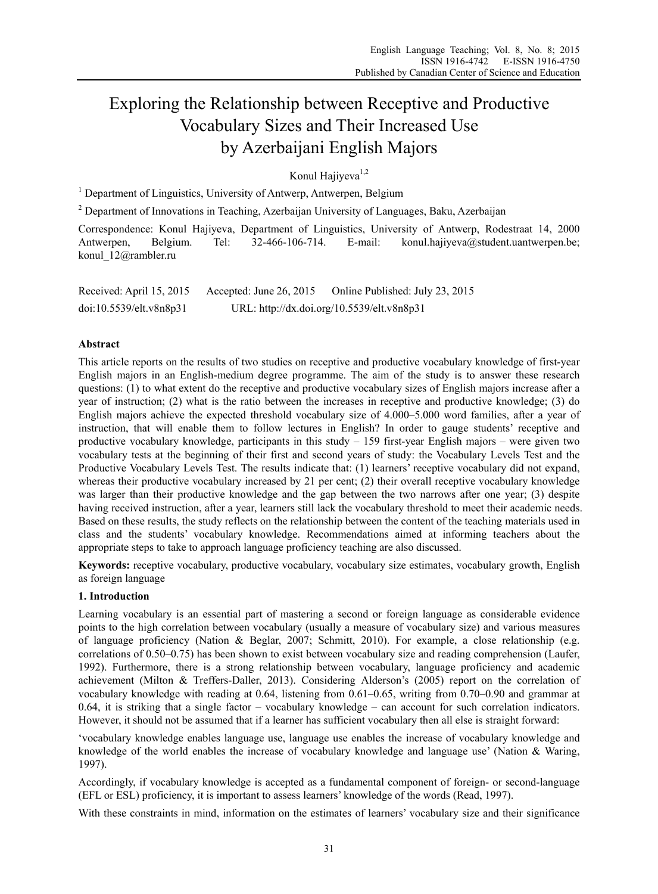# Exploring the Relationship between Receptive and Productive Vocabulary Sizes and Their Increased Use by Azerbaijani English Majors

Konul Hajiyeva $1,2$ 

<sup>1</sup> Department of Linguistics, University of Antwerp, Antwerpen, Belgium

<sup>2</sup> Department of Innovations in Teaching, Azerbaijan University of Languages, Baku, Azerbaijan

Correspondence: Konul Hajiyeva, Department of Linguistics, University of Antwerp, Rodestraat 14, 2000 Antwerpen, Belgium. Tel: 32-466-106-714. E-mail: konul.hajiyeva@student.uantwerpen.be; konul  $12@$ rambler.ru

Received: April 15, 2015 Accepted: June 26, 2015 Online Published: July 23, 2015 doi:10.5539/elt.v8n8p31 URL: http://dx.doi.org/10.5539/elt.v8n8p31

# **Abstract**

This article reports on the results of two studies on receptive and productive vocabulary knowledge of first-year English majors in an English-medium degree programme. The aim of the study is to answer these research questions: (1) to what extent do the receptive and productive vocabulary sizes of English majors increase after a year of instruction; (2) what is the ratio between the increases in receptive and productive knowledge; (3) do English majors achieve the expected threshold vocabulary size of 4.000–5.000 word families, after a year of instruction, that will enable them to follow lectures in English? In order to gauge students' receptive and productive vocabulary knowledge, participants in this study  $-159$  first-year English majors – were given two vocabulary tests at the beginning of their first and second years of study: the Vocabulary Levels Test and the Productive Vocabulary Levels Test. The results indicate that: (1) learners' receptive vocabulary did not expand, whereas their productive vocabulary increased by 21 per cent; (2) their overall receptive vocabulary knowledge was larger than their productive knowledge and the gap between the two narrows after one year; (3) despite having received instruction, after a year, learners still lack the vocabulary threshold to meet their academic needs. Based on these results, the study reflects on the relationship between the content of the teaching materials used in class and the students' vocabulary knowledge. Recommendations aimed at informing teachers about the appropriate steps to take to approach language proficiency teaching are also discussed.

**Keywords:** receptive vocabulary, productive vocabulary, vocabulary size estimates, vocabulary growth, English as foreign language

## **1. Introduction**

Learning vocabulary is an essential part of mastering a second or foreign language as considerable evidence points to the high correlation between vocabulary (usually a measure of vocabulary size) and various measures of language proficiency (Nation & Beglar, 2007; Schmitt, 2010). For example, a close relationship (e.g. correlations of 0.50–0.75) has been shown to exist between vocabulary size and reading comprehension (Laufer, 1992). Furthermore, there is a strong relationship between vocabulary, language proficiency and academic achievement (Milton & Treffers-Daller, 2013). Considering Alderson's (2005) report on the correlation of vocabulary knowledge with reading at 0.64, listening from 0.61–0.65, writing from 0.70–0.90 and grammar at 0.64, it is striking that a single factor – vocabulary knowledge – can account for such correlation indicators. However, it should not be assumed that if a learner has sufficient vocabulary then all else is straight forward:

'vocabulary knowledge enables language use, language use enables the increase of vocabulary knowledge and knowledge of the world enables the increase of vocabulary knowledge and language use' (Nation & Waring, 1997).

Accordingly, if vocabulary knowledge is accepted as a fundamental component of foreign- or second-language (EFL or ESL) proficiency, it is important to assess learners' knowledge of the words (Read, 1997).

With these constraints in mind, information on the estimates of learners' vocabulary size and their significance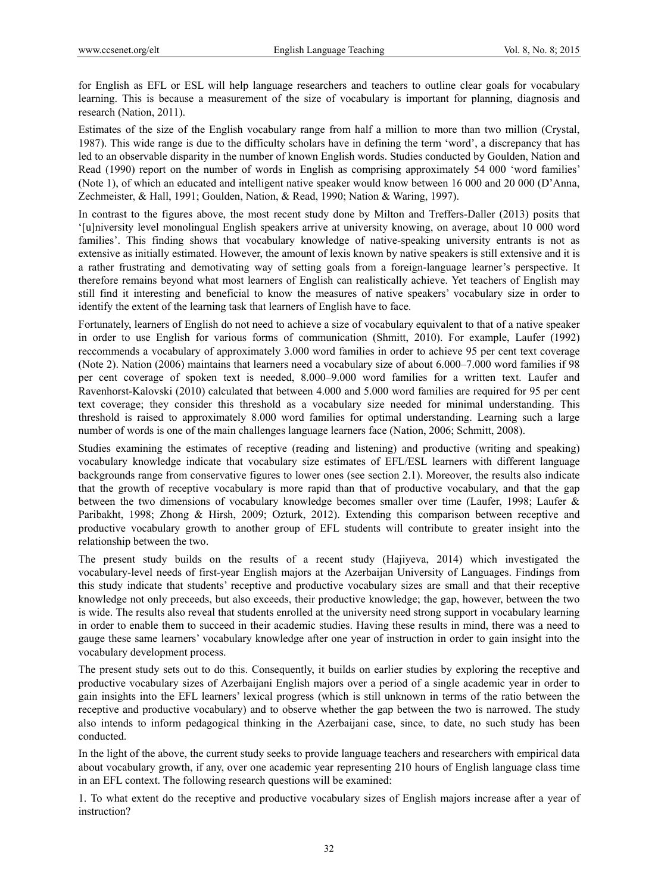for English as EFL or ESL will help language researchers and teachers to outline clear goals for vocabulary learning. This is because a measurement of the size of vocabulary is important for planning, diagnosis and research (Nation, 2011).

Estimates of the size of the English vocabulary range from half a million to more than two million (Crystal, 1987). This wide range is due to the difficulty scholars have in defining the term 'word', a discrepancy that has led to an observable disparity in the number of known English words. Studies conducted by Goulden, Nation and Read (1990) report on the number of words in English as comprising approximately 54 000 'word families' (Note 1), of which an educated and intelligent native speaker would know between 16 000 and 20 000 (D'Anna, Zechmeister, & Hall, 1991; Goulden, Nation, & Read, 1990; Nation & Waring, 1997).

In contrast to the figures above, the most recent study done by Milton and Treffers-Daller (2013) posits that '[u]niversity level monolingual English speakers arrive at university knowing, on average, about 10 000 word families'. This finding shows that vocabulary knowledge of native-speaking university entrants is not as extensive as initially estimated. However, the amount of lexis known by native speakers is still extensive and it is a rather frustrating and demotivating way of setting goals from a foreign-language learner's perspective. It therefore remains beyond what most learners of English can realistically achieve. Yet teachers of English may still find it interesting and beneficial to know the measures of native speakers' vocabulary size in order to identify the extent of the learning task that learners of English have to face.

Fortunately, learners of English do not need to achieve a size of vocabulary equivalent to that of a native speaker in order to use English for various forms of communication (Shmitt, 2010). For example, Laufer (1992) reccommends a vocabulary of approximately 3.000 word families in order to achieve 95 per cent text coverage (Note 2). Nation (2006) maintains that learners need a vocabulary size of about 6.000–7.000 word families if 98 per cent coverage of spoken text is needed, 8.000–9.000 word families for a written text. Laufer and Ravenhorst-Kalovski (2010) calculated that between 4.000 and 5.000 word families are required for 95 per cent text coverage; they consider this threshold as a vocabulary size needed for minimal understanding. This threshold is raised to approximately 8.000 word families for optimal understanding. Learning such a large number of words is one of the main challenges language learners face (Nation, 2006; Schmitt, 2008).

Studies examining the estimates of receptive (reading and listening) and productive (writing and speaking) vocabulary knowledge indicate that vocabulary size estimates of EFL/ESL learners with different language backgrounds range from conservative figures to lower ones (see section 2.1). Moreover, the results also indicate that the growth of receptive vocabulary is more rapid than that of productive vocabulary, and that the gap between the two dimensions of vocabulary knowledge becomes smaller over time (Laufer, 1998; Laufer & Paribakht, 1998; Zhong & Hirsh, 2009; Ozturk, 2012). Extending this comparison between receptive and productive vocabulary growth to another group of EFL students will contribute to greater insight into the relationship between the two.

The present study builds on the results of a recent study (Hajiyeva, 2014) which investigated the vocabulary-level needs of first-year English majors at the Azerbaijan University of Languages. Findings from this study indicate that students' receptive and productive vocabulary sizes are small and that their receptive knowledge not only preceeds, but also exceeds, their productive knowledge; the gap, however, between the two is wide. The results also reveal that students enrolled at the university need strong support in vocabulary learning in order to enable them to succeed in their academic studies. Having these results in mind, there was a need to gauge these same learners' vocabulary knowledge after one year of instruction in order to gain insight into the vocabulary development process.

The present study sets out to do this. Consequently, it builds on earlier studies by exploring the receptive and productive vocabulary sizes of Azerbaijani English majors over a period of a single academic year in order to gain insights into the EFL learners' lexical progress (which is still unknown in terms of the ratio between the receptive and productive vocabulary) and to observe whether the gap between the two is narrowed. The study also intends to inform pedagogical thinking in the Azerbaijani case, since, to date, no such study has been conducted.

In the light of the above, the current study seeks to provide language teachers and researchers with empirical data about vocabulary growth, if any, over one academic year representing 210 hours of English language class time in an EFL context. The following research questions will be examined:

1. To what extent do the receptive and productive vocabulary sizes of English majors increase after a year of instruction?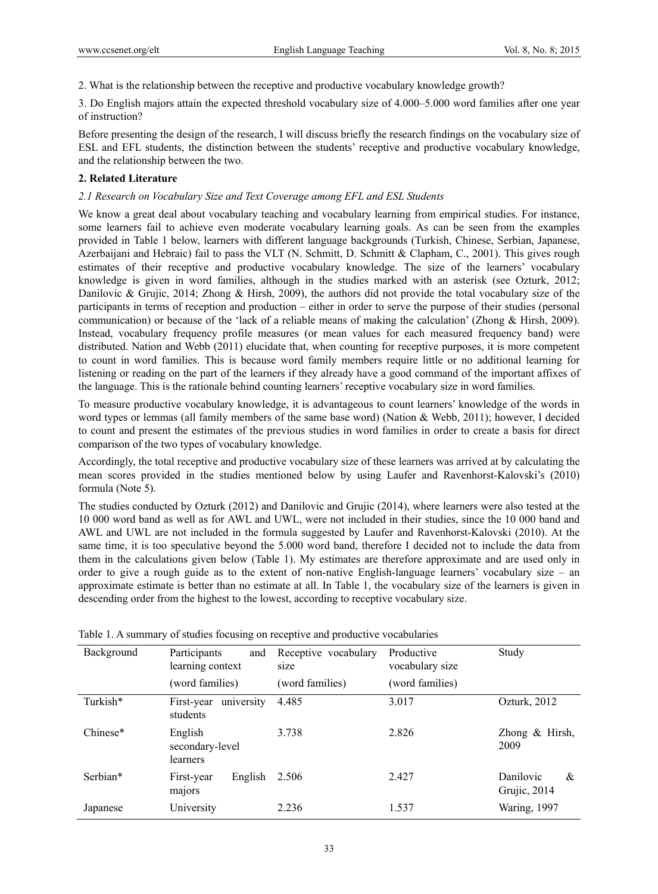2. What is the relationship between the receptive and productive vocabulary knowledge growth?

3. Do English majors attain the expected threshold vocabulary size of 4.000–5.000 word families after one year of instruction?

Before presenting the design of the research, I will discuss briefly the research findings on the vocabulary size of ESL and EFL students, the distinction between the students' receptive and productive vocabulary knowledge, and the relationship between the two.

## **2. Related Literature**

# *2.1 Research on Vocabulary Size and Text Coverage among EFL and ESL Students*

We know a great deal about vocabulary teaching and vocabulary learning from empirical studies. For instance, some learners fail to achieve even moderate vocabulary learning goals. As can be seen from the examples provided in Table 1 below, learners with different language backgrounds (Turkish, Chinese, Serbian, Japanese, Azerbaijani and Hebraic) fail to pass the VLT (N. Schmitt, D. Schmitt & Clapham, C., 2001). This gives rough estimates of their receptive and productive vocabulary knowledge. The size of the learners' vocabulary knowledge is given in word families, although in the studies marked with an asterisk (see Ozturk, 2012; Danilovic & Grujic, 2014; Zhong & Hirsh, 2009), the authors did not provide the total vocabulary size of the participants in terms of reception and production – either in order to serve the purpose of their studies (personal communication) or because of the 'lack of a reliable means of making the calculation' (Zhong & Hirsh, 2009). Instead, vocabulary frequency profile measures (or mean values for each measured frequency band) were distributed. Nation and Webb (2011) elucidate that, when counting for receptive purposes, it is more competent to count in word families. This is because word family members require little or no additional learning for listening or reading on the part of the learners if they already have a good command of the important affixes of the language. This is the rationale behind counting learners' receptive vocabulary size in word families.

To measure productive vocabulary knowledge, it is advantageous to count learners' knowledge of the words in word types or lemmas (all family members of the same base word) (Nation & Webb, 2011); however, I decided to count and present the estimates of the previous studies in word families in order to create a basis for direct comparison of the two types of vocabulary knowledge.

Accordingly, the total receptive and productive vocabulary size of these learners was arrived at by calculating the mean scores provided in the studies mentioned below by using Laufer and Ravenhorst-Kalovski's (2010) formula (Note 5).

The studies conducted by Ozturk (2012) and Danilovic and Grujic (2014), where learners were also tested at the 10 000 word band as well as for AWL and UWL, were not included in their studies, since the 10 000 band and AWL and UWL are not included in the formula suggested by Laufer and Ravenhorst-Kalovski (2010). At the same time, it is too speculative beyond the 5.000 word band, therefore I decided not to include the data from them in the calculations given below (Table 1). My estimates are therefore approximate and are used only in order to give a rough guide as to the extent of non-native English-language learners' vocabulary size – an approximate estimate is better than no estimate at all. In Table 1, the vocabulary size of the learners is given in descending order from the highest to the lowest, according to receptive vocabulary size.

|            |                                         | Table 1. A summary of studies focusing on receptive and productive vocabulaties |                               |                                |
|------------|-----------------------------------------|---------------------------------------------------------------------------------|-------------------------------|--------------------------------|
| Background | Participants<br>and<br>learning context | Receptive vocabulary<br>size                                                    | Productive<br>vocabulary size | Study                          |
|            | (word families)                         | (word families)                                                                 | (word families)               |                                |
| Turkish*   | First-year university<br>students       | 4.485                                                                           | 3.017                         | Ozturk, 2012                   |
| Chinese*   | English<br>secondary-level<br>learners  | 3.738                                                                           | 2.826                         | Zhong $& Hirsh,$<br>2009       |
| Serbian*   | English<br>First-year<br>majors         | 2.506                                                                           | 2.427                         | Danilovic<br>&<br>Grujic, 2014 |
| Japanese   | University                              | 2.236                                                                           | 1.537                         | <b>Waring</b> , 1997           |

Table 1. A summary of studies focusing on receptive and productive vocabularies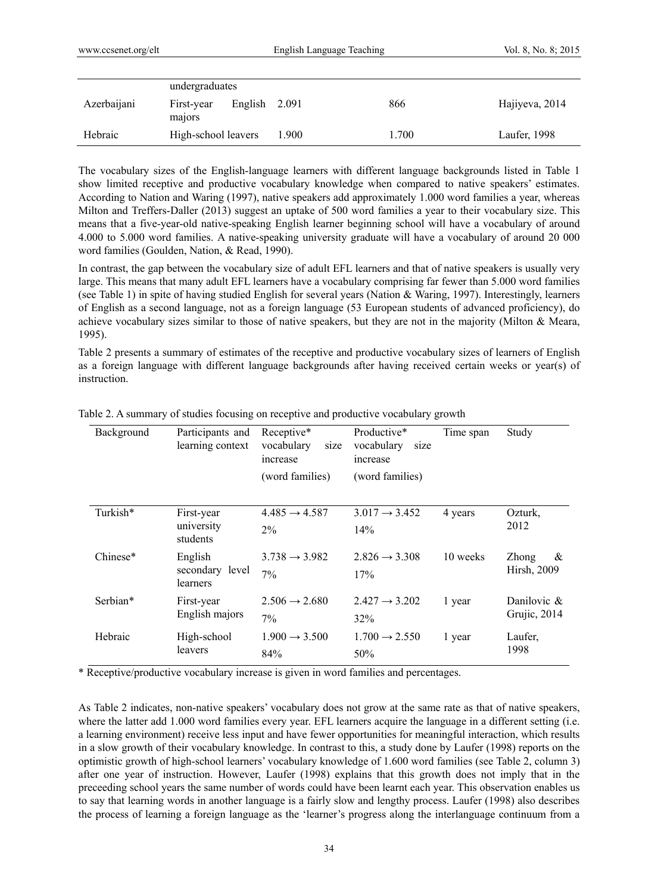|             | undergraduates                          |       |       |                |  |  |
|-------------|-----------------------------------------|-------|-------|----------------|--|--|
| Azerbaijani | English $2.091$<br>First-year<br>majors |       | 866   | Hajiyeva, 2014 |  |  |
| Hebraic     | High-school leavers                     | 1.900 | 1.700 | Laufer, 1998   |  |  |

The vocabulary sizes of the English-language learners with different language backgrounds listed in Table 1 show limited receptive and productive vocabulary knowledge when compared to native speakers' estimates. According to Nation and Waring (1997), native speakers add approximately 1.000 word families a year, whereas Milton and Treffers-Daller (2013) suggest an uptake of 500 word families a year to their vocabulary size. This means that a five-year-old native-speaking English learner beginning school will have a vocabulary of around 4.000 to 5.000 word families. A native-speaking university graduate will have a vocabulary of around 20 000 word families (Goulden, Nation, & Read, 1990).

In contrast, the gap between the vocabulary size of adult EFL learners and that of native speakers is usually very large. This means that many adult EFL learners have a vocabulary comprising far fewer than 5.000 word families (see Table 1) in spite of having studied English for several years (Nation & Waring, 1997). Interestingly, learners of English as a second language, not as a foreign language (53 European students of advanced proficiency), do achieve vocabulary sizes similar to those of native speakers, but they are not in the majority (Milton & Meara, 1995).

Table 2 presents a summary of estimates of the receptive and productive vocabulary sizes of learners of English as a foreign language with different language backgrounds after having received certain weeks or year(s) of instruction.

| Background | Participants and<br>learning context   | Receptive*<br>vocabulary<br>size<br>increase | Productive*<br>vocabulary<br>size<br>increase | Time span | Study                       |
|------------|----------------------------------------|----------------------------------------------|-----------------------------------------------|-----------|-----------------------------|
|            |                                        | (word families)                              | (word families)                               |           |                             |
| Turkish*   | First-year<br>university<br>students   | $4.485 \rightarrow 4.587$<br>$2\%$           | $3.017 \rightarrow 3.452$<br>14%              | 4 years   | Ozturk,<br>2012             |
| Chinese*   | English<br>secondary level<br>learners | $3.738 \rightarrow 3.982$<br>$7\%$           | $2.826 \rightarrow 3.308$<br>17%              | 10 weeks  | Zhong<br>&<br>Hirsh, 2009   |
| Serbian*   | First-year<br>English majors           | $2.506 \rightarrow 2.680$<br>$7\%$           | $2.427 \rightarrow 3.202$<br>32%              | 1 year    | Danilovic &<br>Grujic, 2014 |
| Hebraic    | High-school<br>leavers                 | $1.900 \rightarrow 3.500$<br>84%             | $1.700 \rightarrow 2.550$<br>50%              | 1 year    | Laufer,<br>1998             |

Table 2. A summary of studies focusing on receptive and productive vocabulary growth

\* Receptive/productive vocabulary increase is given in word families and percentages.

As Table 2 indicates, non-native speakers' vocabulary does not grow at the same rate as that of native speakers, where the latter add 1.000 word families every year. EFL learners acquire the language in a different setting (i.e. a learning environment) receive less input and have fewer opportunities for meaningful interaction, which results in a slow growth of their vocabulary knowledge. In contrast to this, a study done by Laufer (1998) reports on the optimistic growth of high-school learners' vocabulary knowledge of 1.600 word families (see Table 2, column 3) after one year of instruction. However, Laufer (1998) explains that this growth does not imply that in the preceeding school years the same number of words could have been learnt each year. This observation enables us to say that learning words in another language is a fairly slow and lengthy process. Laufer (1998) also describes the process of learning a foreign language as the 'learner's progress along the interlanguage continuum from a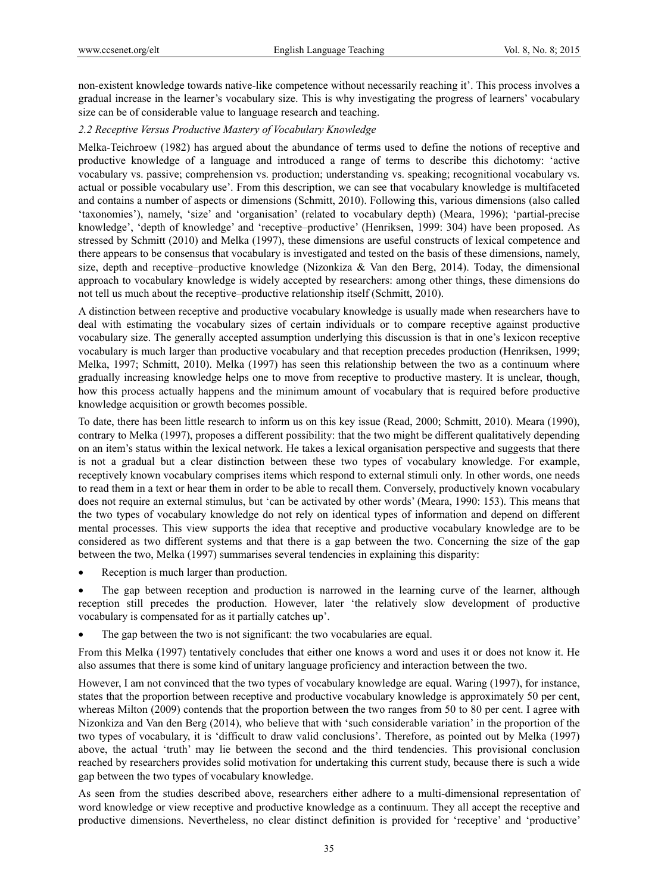non-existent knowledge towards native-like competence without necessarily reaching it'. This process involves a gradual increase in the learner's vocabulary size. This is why investigating the progress of learners' vocabulary size can be of considerable value to language research and teaching.

## *2.2 Receptive Versus Productive Mastery of Vocabulary Knowledge*

Melka-Teichroew (1982) has argued about the abundance of terms used to define the notions of receptive and productive knowledge of a language and introduced a range of terms to describe this dichotomy: 'active vocabulary vs. passive; comprehension vs. production; understanding vs. speaking; recognitional vocabulary vs. actual or possible vocabulary use'. From this description, we can see that vocabulary knowledge is multifaceted and contains a number of aspects or dimensions (Schmitt, 2010). Following this, various dimensions (also called 'taxonomies'), namely, 'size' and 'organisation' (related to vocabulary depth) (Meara, 1996); 'partial-precise knowledge', 'depth of knowledge' and 'receptive–productive' (Henriksen, 1999: 304) have been proposed. As stressed by Schmitt (2010) and Melka (1997), these dimensions are useful constructs of lexical competence and there appears to be consensus that vocabulary is investigated and tested on the basis of these dimensions, namely, size, depth and receptive–productive knowledge (Nizonkiza & Van den Berg, 2014). Today, the dimensional approach to vocabulary knowledge is widely accepted by researchers: among other things, these dimensions do not tell us much about the receptive–productive relationship itself (Schmitt, 2010).

A distinction between receptive and productive vocabulary knowledge is usually made when researchers have to deal with estimating the vocabulary sizes of certain individuals or to compare receptive against productive vocabulary size. The generally accepted assumption underlying this discussion is that in one's lexicon receptive vocabulary is much larger than productive vocabulary and that reception precedes production (Henriksen, 1999; Melka, 1997; Schmitt, 2010). Melka (1997) has seen this relationship between the two as a continuum where gradually increasing knowledge helps one to move from receptive to productive mastery. It is unclear, though, how this process actually happens and the minimum amount of vocabulary that is required before productive knowledge acquisition or growth becomes possible.

To date, there has been little research to inform us on this key issue (Read, 2000; Schmitt, 2010). Meara (1990), contrary to Melka (1997), proposes a different possibility: that the two might be different qualitatively depending on an item's status within the lexical network. He takes a lexical organisation perspective and suggests that there is not a gradual but a clear distinction between these two types of vocabulary knowledge. For example, receptively known vocabulary comprises items which respond to external stimuli only. In other words, one needs to read them in a text or hear them in order to be able to recall them. Conversely, productively known vocabulary does not require an external stimulus, but 'can be activated by other words' (Meara, 1990: 153). This means that the two types of vocabulary knowledge do not rely on identical types of information and depend on different mental processes. This view supports the idea that receptive and productive vocabulary knowledge are to be considered as two different systems and that there is a gap between the two. Concerning the size of the gap between the two, Melka (1997) summarises several tendencies in explaining this disparity:

• Reception is much larger than production.

 The gap between reception and production is narrowed in the learning curve of the learner, although reception still precedes the production. However, later 'the relatively slow development of productive vocabulary is compensated for as it partially catches up'.

The gap between the two is not significant: the two vocabularies are equal.

From this Melka (1997) tentatively concludes that either one knows a word and uses it or does not know it. He also assumes that there is some kind of unitary language proficiency and interaction between the two.

However, I am not convinced that the two types of vocabulary knowledge are equal. Waring (1997), for instance, states that the proportion between receptive and productive vocabulary knowledge is approximately 50 per cent, whereas Milton (2009) contends that the proportion between the two ranges from 50 to 80 per cent. I agree with Nizonkiza and Van den Berg (2014), who believe that with 'such considerable variation' in the proportion of the two types of vocabulary, it is 'difficult to draw valid conclusions'. Therefore, as pointed out by Melka (1997) above, the actual 'truth' may lie between the second and the third tendencies. This provisional conclusion reached by researchers provides solid motivation for undertaking this current study, because there is such a wide gap between the two types of vocabulary knowledge.

As seen from the studies described above, researchers either adhere to a multi-dimensional representation of word knowledge or view receptive and productive knowledge as a continuum. They all accept the receptive and productive dimensions. Nevertheless, no clear distinct definition is provided for 'receptive' and 'productive'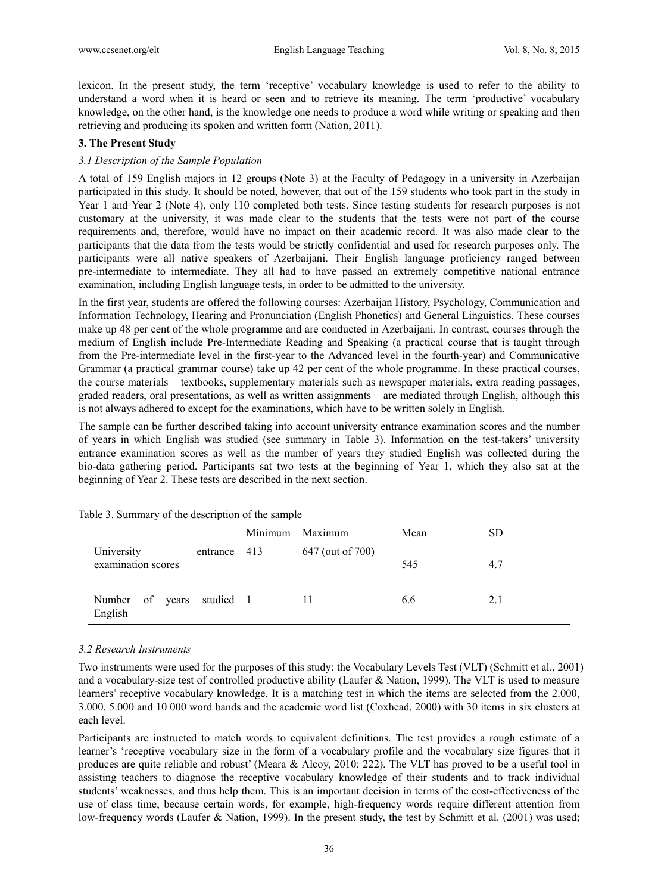lexicon. In the present study, the term 'receptive' vocabulary knowledge is used to refer to the ability to understand a word when it is heard or seen and to retrieve its meaning. The term 'productive' vocabulary knowledge, on the other hand, is the knowledge one needs to produce a word while writing or speaking and then retrieving and producing its spoken and written form (Nation, 2011).

#### **3. The Present Study**

#### *3.1 Description of the Sample Population*

A total of 159 English majors in 12 groups (Note 3) at the Faculty of Pedagogy in a university in Azerbaijan participated in this study. It should be noted, however, that out of the 159 students who took part in the study in Year 1 and Year 2 (Note 4), only 110 completed both tests. Since testing students for research purposes is not customary at the university, it was made clear to the students that the tests were not part of the course requirements and, therefore, would have no impact on their academic record. It was also made clear to the participants that the data from the tests would be strictly confidential and used for research purposes only. The participants were all native speakers of Azerbaijani. Their English language proficiency ranged between pre-intermediate to intermediate. They all had to have passed an extremely competitive national entrance examination, including English language tests, in order to be admitted to the university.

In the first year, students are offered the following courses: Azerbaijan History, Psychology, Communication and Information Technology, Hearing and Pronunciation (English Phonetics) and General Linguistics. These courses make up 48 per cent of the whole programme and are conducted in Azerbaijani. In contrast, courses through the medium of English include Pre-Intermediate Reading and Speaking (a practical course that is taught through from the Pre-intermediate level in the first-year to the Advanced level in the fourth-year) and Communicative Grammar (a practical grammar course) take up 42 per cent of the whole programme. In these practical courses, the course materials – textbooks, supplementary materials such as newspaper materials, extra reading passages, graded readers, oral presentations, as well as written assignments – are mediated through English, although this is not always adhered to except for the examinations, which have to be written solely in English.

The sample can be further described taking into account university entrance examination scores and the number of years in which English was studied (see summary in Table 3). Information on the test-takers' university entrance examination scores as well as the number of years they studied English was collected during the bio-data gathering period. Participants sat two tests at the beginning of Year 1, which they also sat at the beginning of Year 2. These tests are described in the next section.

|                                  | Minimum      | Maximum          | Mean | SD  |
|----------------------------------|--------------|------------------|------|-----|
| University<br>examination scores | entrance 413 | 647 (out of 700) | 545  | 4.7 |
| Number of years<br>English       | studied 1    | 11               | 6.6  | 2.1 |

Table 3. Summary of the description of the sample

#### *3.2 Research Instruments*

Two instruments were used for the purposes of this study: the Vocabulary Levels Test (VLT) (Schmitt et al., 2001) and a vocabulary-size test of controlled productive ability (Laufer & Nation, 1999). The VLT is used to measure learners' receptive vocabulary knowledge. It is a matching test in which the items are selected from the 2.000, 3.000, 5.000 and 10 000 word bands and the academic word list (Coxhead, 2000) with 30 items in six clusters at each level.

Participants are instructed to match words to equivalent definitions. The test provides a rough estimate of a learner's 'receptive vocabulary size in the form of a vocabulary profile and the vocabulary size figures that it produces are quite reliable and robust' (Meara & Alcoy, 2010: 222). The VLT has proved to be a useful tool in assisting teachers to diagnose the receptive vocabulary knowledge of their students and to track individual students' weaknesses, and thus help them. This is an important decision in terms of the cost-effectiveness of the use of class time, because certain words, for example, high-frequency words require different attention from low-frequency words (Laufer & Nation, 1999). In the present study, the test by Schmitt et al. (2001) was used;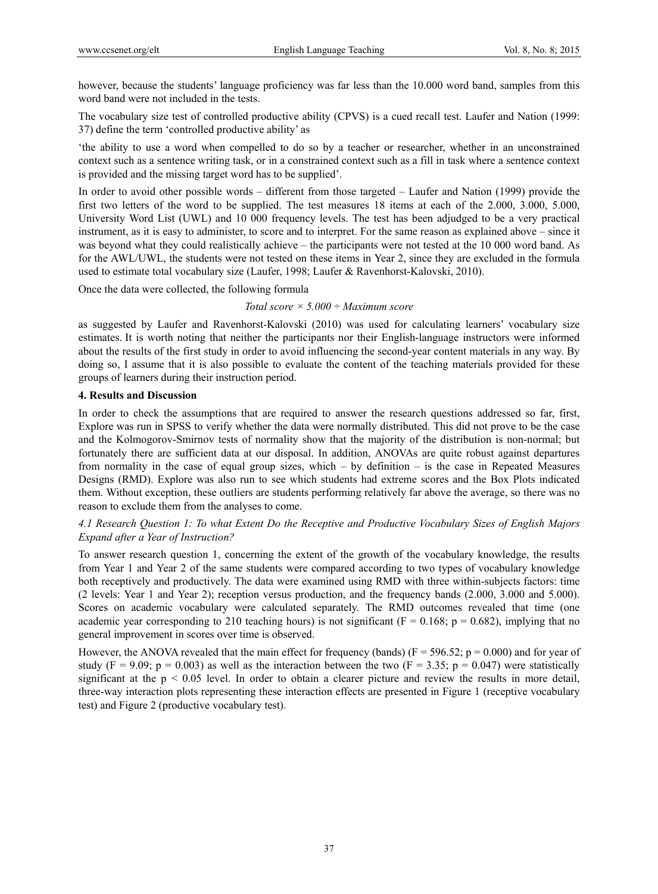however, because the students' language proficiency was far less than the 10.000 word band, samples from this word band were not included in the tests.

The vocabulary size test of controlled productive ability (CPVS) is a cued recall test. Laufer and Nation (1999: 37) define the term 'controlled productive ability' as

'the ability to use a word when compelled to do so by a teacher or researcher, whether in an unconstrained context such as a sentence writing task, or in a constrained context such as a fill in task where a sentence context is provided and the missing target word has to be supplied'.

In order to avoid other possible words – different from those targeted – Laufer and Nation (1999) provide the first two letters of the word to be supplied. The test measures 18 items at each of the 2.000, 3.000, 5.000, University Word List (UWL) and 10 000 frequency levels. The test has been adjudged to be a very practical instrument, as it is easy to administer, to score and to interpret. For the same reason as explained above – since it was beyond what they could realistically achieve – the participants were not tested at the 10 000 word band. As for the AWL/UWL, the students were not tested on these items in Year 2, since they are excluded in the formula used to estimate total vocabulary size (Laufer, 1998; Laufer & Ravenhorst-Kalovski, 2010).

Once the data were collected, the following formula

#### *Total score × 5.000 ÷ Maximum score*

as suggested by Laufer and Ravenhorst-Kalovski (2010) was used for calculating learners' vocabulary size estimates. It is worth noting that neither the participants nor their English-language instructors were informed about the results of the first study in order to avoid influencing the second-year content materials in any way. By doing so, I assume that it is also possible to evaluate the content of the teaching materials provided for these groups of learners during their instruction period.

## **4. Results and Discussion**

In order to check the assumptions that are required to answer the research questions addressed so far, first, Explore was run in SPSS to verify whether the data were normally distributed. This did not prove to be the case and the Kolmogorov-Smirnov tests of normality show that the majority of the distribution is non-normal; but fortunately there are sufficient data at our disposal. In addition, ANOVAs are quite robust against departures from normality in the case of equal group sizes, which – by definition – is the case in Repeated Measures Designs (RMD). Explore was also run to see which students had extreme scores and the Box Plots indicated them. Without exception, these outliers are students performing relatively far above the average, so there was no reason to exclude them from the analyses to come.

# *4.1 Research Question 1: To what Extent Do the Receptive and Productive Vocabulary Sizes of English Majors Expand after a Year of Instruction?*

To answer research question 1, concerning the extent of the growth of the vocabulary knowledge, the results from Year 1 and Year 2 of the same students were compared according to two types of vocabulary knowledge both receptively and productively. The data were examined using RMD with three within-subjects factors: time (2 levels: Year 1 and Year 2); reception versus production, and the frequency bands (2.000, 3.000 and 5.000). Scores on academic vocabulary were calculated separately. The RMD outcomes revealed that time (one academic year corresponding to 210 teaching hours) is not significant ( $F = 0.168$ ;  $p = 0.682$ ), implying that no general improvement in scores over time is observed.

However, the ANOVA revealed that the main effect for frequency (bands) ( $F = 596.52$ ;  $p = 0.000$ ) and for year of study (F = 9.09; p = 0.003) as well as the interaction between the two (F = 3.35; p = 0.047) were statistically significant at the  $p < 0.05$  level. In order to obtain a clearer picture and review the results in more detail, three-way interaction plots representing these interaction effects are presented in Figure 1 (receptive vocabulary test) and Figure 2 (productive vocabulary test).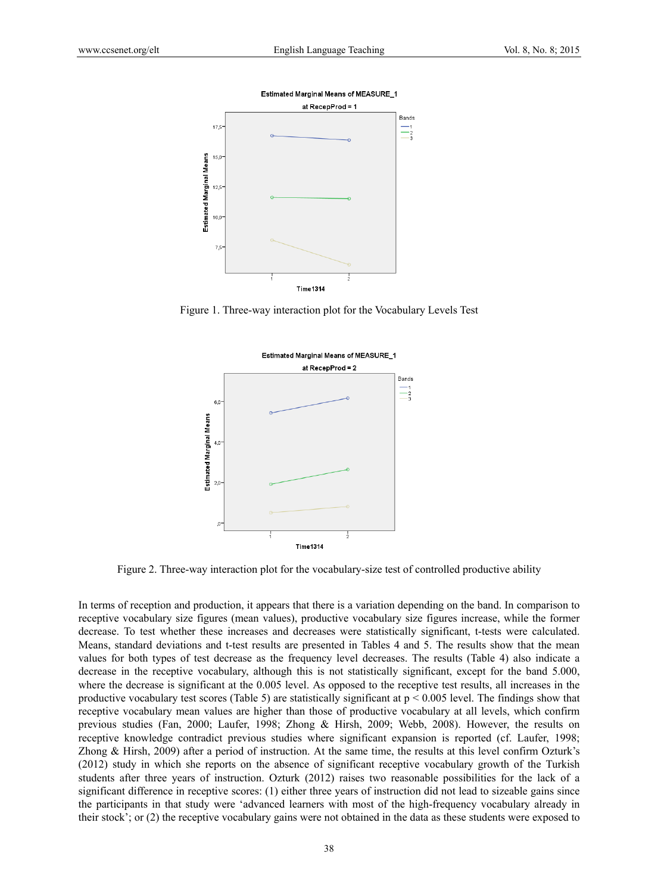

Figure 1. Three-way interaction plot for the Vocabulary Levels Test



Figure 2. Three-way interaction plot for the vocabulary-size test of controlled productive ability

In terms of reception and production, it appears that there is a variation depending on the band. In comparison to receptive vocabulary size figures (mean values), productive vocabulary size figures increase, while the former decrease. To test whether these increases and decreases were statistically significant, t-tests were calculated. Means, standard deviations and t-test results are presented in Tables 4 and 5. The results show that the mean values for both types of test decrease as the frequency level decreases. The results (Table 4) also indicate a decrease in the receptive vocabulary, although this is not statistically significant, except for the band 5.000, where the decrease is significant at the 0.005 level. As opposed to the receptive test results, all increases in the productive vocabulary test scores (Table 5) are statistically significant at  $p \le 0.005$  level. The findings show that receptive vocabulary mean values are higher than those of productive vocabulary at all levels, which confirm previous studies (Fan, 2000; Laufer, 1998; Zhong & Hirsh, 2009; Webb, 2008). However, the results on receptive knowledge contradict previous studies where significant expansion is reported (cf. Laufer, 1998; Zhong & Hirsh, 2009) after a period of instruction. At the same time, the results at this level confirm Ozturk's (2012) study in which she reports on the absence of significant receptive vocabulary growth of the Turkish students after three years of instruction. Ozturk (2012) raises two reasonable possibilities for the lack of a significant difference in receptive scores: (1) either three years of instruction did not lead to sizeable gains since the participants in that study were 'advanced learners with most of the high-frequency vocabulary already in their stock'; or (2) the receptive vocabulary gains were not obtained in the data as these students were exposed to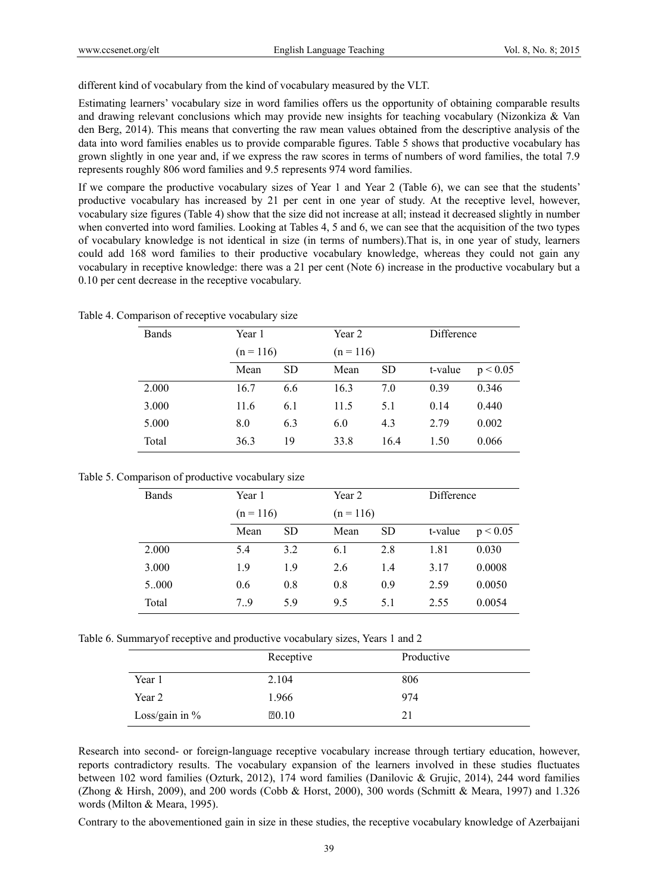different kind of vocabulary from the kind of vocabulary measured by the VLT.

Estimating learners' vocabulary size in word families offers us the opportunity of obtaining comparable results and drawing relevant conclusions which may provide new insights for teaching vocabulary (Nizonkiza  $\&$  Van den Berg, 2014). This means that converting the raw mean values obtained from the descriptive analysis of the data into word families enables us to provide comparable figures. Table 5 shows that productive vocabulary has grown slightly in one year and, if we express the raw scores in terms of numbers of word families, the total 7.9 represents roughly 806 word families and 9.5 represents 974 word families.

If we compare the productive vocabulary sizes of Year 1 and Year 2 (Table 6), we can see that the students' productive vocabulary has increased by 21 per cent in one year of study. At the receptive level, however, vocabulary size figures (Table 4) show that the size did not increase at all; instead it decreased slightly in number when converted into word families. Looking at Tables 4, 5 and 6, we can see that the acquisition of the two types of vocabulary knowledge is not identical in size (in terms of numbers).That is, in one year of study, learners could add 168 word families to their productive vocabulary knowledge, whereas they could not gain any vocabulary in receptive knowledge: there was a 21 per cent (Note 6) increase in the productive vocabulary but a 0.10 per cent decrease in the receptive vocabulary.

| <b>Bands</b> | Year 1      |           | Year 2      |           | Difference |          |
|--------------|-------------|-----------|-------------|-----------|------------|----------|
|              | $(n = 116)$ |           | $(n = 116)$ |           |            |          |
|              | Mean        | <b>SD</b> | Mean        | <b>SD</b> | t-value    | p < 0.05 |
| 2.000        | 16.7        | 6.6       | 16.3        | 7.0       | 0.39       | 0.346    |
| 3.000        | 11.6        | 6.1       | 11.5        | 5.1       | 0.14       | 0.440    |
| 5.000        | 8.0         | 6.3       | 6.0         | 4.3       | 2.79       | 0.002    |
| Total        | 36.3        | 19        | 33.8        | 16.4      | 1.50       | 0.066    |

Table 4. Comparison of receptive vocabulary size

|  | Table 5. Comparison of productive vocabulary size |
|--|---------------------------------------------------|
|  |                                                   |

| <b>Bands</b> | Year 1      |           | Year 2      |           | Difference |          |
|--------------|-------------|-----------|-------------|-----------|------------|----------|
|              | $(n = 116)$ |           | $(n = 116)$ |           |            |          |
|              | Mean        | <b>SD</b> | Mean        | <b>SD</b> | t-value    | p < 0.05 |
| 2.000        | 5.4         | 3.2       | 6.1         | 2.8       | 1.81       | 0.030    |
| 3.000        | 1.9         | 1.9       | 2.6         | 1.4       | 3.17       | 0.0008   |
| 5.000        | 0.6         | 0.8       | 0.8         | 0.9       | 2.59       | 0.0050   |
| Total        | 79          | 5.9       | 9.5         | 5.1       | 2.55       | 0.0054   |
|              |             |           |             |           |            |          |

Table 6. Summaryof receptive and productive vocabulary sizes, Years 1 and 2

|                  | Receptive | Productive |  |
|------------------|-----------|------------|--|
| Year 1           | 2.104     | 806        |  |
| Year 2           | 1.966     | 974        |  |
| Loss/gain in $%$ | 20.10     | 21         |  |

Research into second- or foreign-language receptive vocabulary increase through tertiary education, however, reports contradictory results. The vocabulary expansion of the learners involved in these studies fluctuates between 102 word families (Ozturk, 2012), 174 word families (Danilovic & Grujic, 2014), 244 word families (Zhong & Hirsh, 2009), and 200 words (Cobb & Horst, 2000), 300 words (Schmitt & Meara, 1997) and 1.326 words (Milton & Meara, 1995).

Contrary to the abovementioned gain in size in these studies, the receptive vocabulary knowledge of Azerbaijani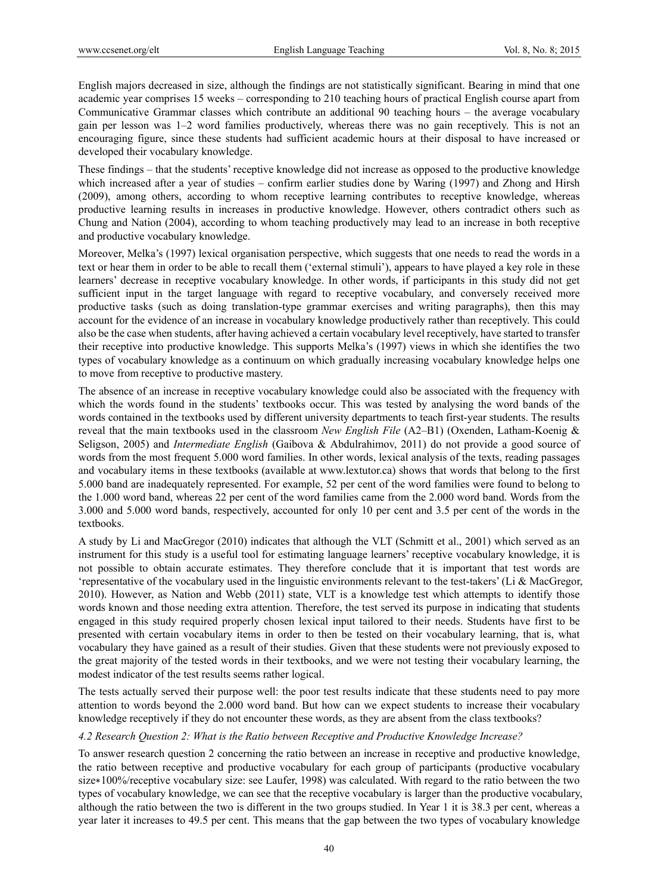English majors decreased in size, although the findings are not statistically significant. Bearing in mind that one academic year comprises 15 weeks – corresponding to 210 teaching hours of practical English course apart from Communicative Grammar classes which contribute an additional 90 teaching hours – the average vocabulary gain per lesson was 1–2 word families productively, whereas there was no gain receptively. This is not an encouraging figure, since these students had sufficient academic hours at their disposal to have increased or developed their vocabulary knowledge.

These findings – that the students' receptive knowledge did not increase as opposed to the productive knowledge which increased after a year of studies – confirm earlier studies done by Waring (1997) and Zhong and Hirsh (2009), among others, according to whom receptive learning contributes to receptive knowledge, whereas productive learning results in increases in productive knowledge. However, others contradict others such as Chung and Nation (2004), according to whom teaching productively may lead to an increase in both receptive and productive vocabulary knowledge.

Moreover, Melka's (1997) lexical organisation perspective, which suggests that one needs to read the words in a text or hear them in order to be able to recall them ('external stimuli'), appears to have played a key role in these learners' decrease in receptive vocabulary knowledge. In other words, if participants in this study did not get sufficient input in the target language with regard to receptive vocabulary, and conversely received more productive tasks (such as doing translation-type grammar exercises and writing paragraphs), then this may account for the evidence of an increase in vocabulary knowledge productively rather than receptively. This could also be the case when students, after having achieved a certain vocabulary level receptively, have started to transfer their receptive into productive knowledge. This supports Melka's (1997) views in which she identifies the two types of vocabulary knowledge as a continuum on which gradually increasing vocabulary knowledge helps one to move from receptive to productive mastery.

The absence of an increase in receptive vocabulary knowledge could also be associated with the frequency with which the words found in the students' textbooks occur. This was tested by analysing the word bands of the words contained in the textbooks used by different university departments to teach first-year students. The results reveal that the main textbooks used in the classroom *New English File* (A2–B1) (Oxenden, Latham-Koenig & Seligson, 2005) and *Intermediate English* (Gaibova & Abdulrahimov, 2011) do not provide a good source of words from the most frequent 5.000 word families. In other words, lexical analysis of the texts, reading passages and vocabulary items in these textbooks (available at www.lextutor.ca) shows that words that belong to the first 5.000 band are inadequately represented. For example, 52 per cent of the word families were found to belong to the 1.000 word band, whereas 22 per cent of the word families came from the 2.000 word band. Words from the 3.000 and 5.000 word bands, respectively, accounted for only 10 per cent and 3.5 per cent of the words in the textbooks.

A study by Li and MacGregor (2010) indicates that although the VLT (Schmitt et al., 2001) which served as an instrument for this study is a useful tool for estimating language learners' receptive vocabulary knowledge, it is not possible to obtain accurate estimates. They therefore conclude that it is important that test words are 'representative of the vocabulary used in the linguistic environments relevant to the test-takers' (Li & MacGregor, 2010). However, as Nation and Webb (2011) state, VLT is a knowledge test which attempts to identify those words known and those needing extra attention. Therefore, the test served its purpose in indicating that students engaged in this study required properly chosen lexical input tailored to their needs. Students have first to be presented with certain vocabulary items in order to then be tested on their vocabulary learning, that is, what vocabulary they have gained as a result of their studies. Given that these students were not previously exposed to the great majority of the tested words in their textbooks, and we were not testing their vocabulary learning, the modest indicator of the test results seems rather logical.

The tests actually served their purpose well: the poor test results indicate that these students need to pay more attention to words beyond the 2.000 word band. But how can we expect students to increase their vocabulary knowledge receptively if they do not encounter these words, as they are absent from the class textbooks?

## *4.2 Research Question 2: What is the Ratio between Receptive and Productive Knowledge Increase?*

To answer research question 2 concerning the ratio between an increase in receptive and productive knowledge, the ratio between receptive and productive vocabulary for each group of participants (productive vocabulary size $*100\%$ /receptive vocabulary size: see Laufer, 1998) was calculated. With regard to the ratio between the two types of vocabulary knowledge, we can see that the receptive vocabulary is larger than the productive vocabulary, although the ratio between the two is different in the two groups studied. In Year 1 it is 38.3 per cent, whereas a year later it increases to 49.5 per cent. This means that the gap between the two types of vocabulary knowledge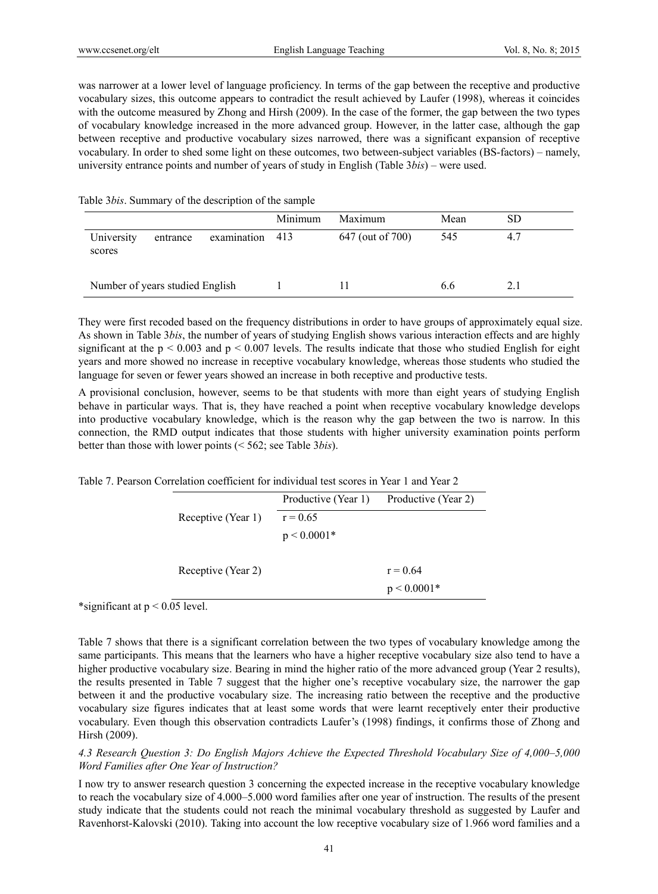was narrower at a lower level of language proficiency. In terms of the gap between the receptive and productive vocabulary sizes, this outcome appears to contradict the result achieved by Laufer (1998), whereas it coincides with the outcome measured by Zhong and Hirsh (2009). In the case of the former, the gap between the two types of vocabulary knowledge increased in the more advanced group. However, in the latter case, although the gap between receptive and productive vocabulary sizes narrowed, there was a significant expansion of receptive vocabulary. In order to shed some light on these outcomes, two between-subject variables (BS-factors) – namely, university entrance points and number of years of study in English (Table 3*bis*) – were used.

Table 3*bis*. Summary of the description of the sample

|                                 |          |                 | Minimum | Maximum          | Mean | <b>SD</b> |
|---------------------------------|----------|-----------------|---------|------------------|------|-----------|
| University<br>scores            | entrance | examination 413 |         | 647 (out of 700) | 545  | 4.7       |
| Number of years studied English |          |                 |         | 6.6              | 2.1  |           |

They were first recoded based on the frequency distributions in order to have groups of approximately equal size. As shown in Table 3*bis*, the number of years of studying English shows various interaction effects and are highly significant at the  $p \le 0.003$  and  $p \le 0.007$  levels. The results indicate that those who studied English for eight years and more showed no increase in receptive vocabulary knowledge, whereas those students who studied the language for seven or fewer years showed an increase in both receptive and productive tests.

A provisional conclusion, however, seems to be that students with more than eight years of studying English behave in particular ways. That is, they have reached a point when receptive vocabulary knowledge develops into productive vocabulary knowledge, which is the reason why the gap between the two is narrow. In this connection, the RMD output indicates that those students with higher university examination points perform better than those with lower points (< 562; see Table 3*bis*).

Table 7. Pearson Correlation coefficient for individual test scores in Year 1 and Year 2

|                    | Productive (Year 1) | Productive (Year 2) |
|--------------------|---------------------|---------------------|
| Receptive (Year 1) | $r = 0.65$          |                     |
|                    | $p < 0.0001*$       |                     |
|                    |                     |                     |
| Receptive (Year 2) |                     | $r = 0.64$          |
|                    |                     | $p < 0.0001*$       |

\*significant at p < 0.05 level.

Table 7 shows that there is a significant correlation between the two types of vocabulary knowledge among the same participants. This means that the learners who have a higher receptive vocabulary size also tend to have a higher productive vocabulary size. Bearing in mind the higher ratio of the more advanced group (Year 2 results), the results presented in Table 7 suggest that the higher one's receptive vocabulary size, the narrower the gap between it and the productive vocabulary size. The increasing ratio between the receptive and the productive vocabulary size figures indicates that at least some words that were learnt receptively enter their productive vocabulary. Even though this observation contradicts Laufer's (1998) findings, it confirms those of Zhong and Hirsh (2009).

# *4.3 Research Question 3: Do English Majors Achieve the Expected Threshold Vocabulary Size of 4,000–5,000 Word Families after One Year of Instruction?*

I now try to answer research question 3 concerning the expected increase in the receptive vocabulary knowledge to reach the vocabulary size of 4.000–5.000 word families after one year of instruction. The results of the present study indicate that the students could not reach the minimal vocabulary threshold as suggested by Laufer and Ravenhorst-Kalovski (2010). Taking into account the low receptive vocabulary size of 1.966 word families and a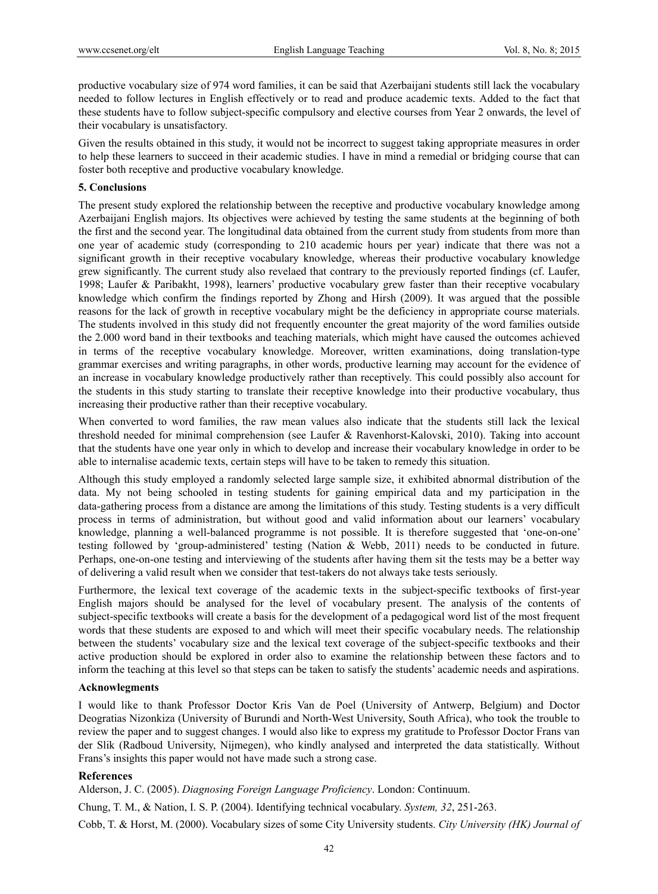productive vocabulary size of 974 word families, it can be said that Azerbaijani students still lack the vocabulary needed to follow lectures in English effectively or to read and produce academic texts. Added to the fact that these students have to follow subject-specific compulsory and elective courses from Year 2 onwards, the level of their vocabulary is unsatisfactory.

Given the results obtained in this study, it would not be incorrect to suggest taking appropriate measures in order to help these learners to succeed in their academic studies. I have in mind a remedial or bridging course that can foster both receptive and productive vocabulary knowledge.

#### **5. Conclusions**

The present study explored the relationship between the receptive and productive vocabulary knowledge among Azerbaijani English majors. Its objectives were achieved by testing the same students at the beginning of both the first and the second year. The longitudinal data obtained from the current study from students from more than one year of academic study (corresponding to 210 academic hours per year) indicate that there was not a significant growth in their receptive vocabulary knowledge, whereas their productive vocabulary knowledge grew significantly. The current study also revelaed that contrary to the previously reported findings (cf. Laufer, 1998; Laufer & Paribakht, 1998), learners' productive vocabulary grew faster than their receptive vocabulary knowledge which confirm the findings reported by Zhong and Hirsh (2009). It was argued that the possible reasons for the lack of growth in receptive vocabulary might be the deficiency in appropriate course materials. The students involved in this study did not frequently encounter the great majority of the word families outside the 2.000 word band in their textbooks and teaching materials, which might have caused the outcomes achieved in terms of the receptive vocabulary knowledge. Moreover, written examinations, doing translation-type grammar exercises and writing paragraphs, in other words, productive learning may account for the evidence of an increase in vocabulary knowledge productively rather than receptively. This could possibly also account for the students in this study starting to translate their receptive knowledge into their productive vocabulary, thus increasing their productive rather than their receptive vocabulary.

When converted to word families, the raw mean values also indicate that the students still lack the lexical threshold needed for minimal comprehension (see Laufer & Ravenhorst-Kalovski, 2010). Taking into account that the students have one year only in which to develop and increase their vocabulary knowledge in order to be able to internalise academic texts, certain steps will have to be taken to remedy this situation.

Although this study employed a randomly selected large sample size, it exhibited abnormal distribution of the data. My not being schooled in testing students for gaining empirical data and my participation in the data-gathering process from a distance are among the limitations of this study. Testing students is a very difficult process in terms of administration, but without good and valid information about our learners' vocabulary knowledge, planning a well-balanced programme is not possible. It is therefore suggested that 'one-on-one' testing followed by 'group-administered' testing (Nation & Webb, 2011) needs to be conducted in future. Perhaps, one-on-one testing and interviewing of the students after having them sit the tests may be a better way of delivering a valid result when we consider that test-takers do not always take tests seriously.

Furthermore, the lexical text coverage of the academic texts in the subject-specific textbooks of first-year English majors should be analysed for the level of vocabulary present. The analysis of the contents of subject-specific textbooks will create a basis for the development of a pedagogical word list of the most frequent words that these students are exposed to and which will meet their specific vocabulary needs. The relationship between the students' vocabulary size and the lexical text coverage of the subject-specific textbooks and their active production should be explored in order also to examine the relationship between these factors and to inform the teaching at this level so that steps can be taken to satisfy the students' academic needs and aspirations.

## **Acknowlegments**

I would like to thank Professor Doctor Kris Van de Poel (University of Antwerp, Belgium) and Doctor Deogratias Nizonkiza (University of Burundi and North-West University, South Africa), who took the trouble to review the paper and to suggest changes. I would also like to express my gratitude to Professor Doctor Frans van der Slik (Radboud University, Nijmegen), who kindly analysed and interpreted the data statistically. Without Frans's insights this paper would not have made such a strong case.

## **References**

Alderson, J. C. (2005). *Diagnosing Foreign Language Proficiency*. London: Continuum.

Chung, T. M., & Nation, I. S. P. (2004). Identifying technical vocabulary. *System, 32*, 251-263.

Cobb, T. & Horst, M. (2000). Vocabulary sizes of some City University students. *City University (HK) Journal of*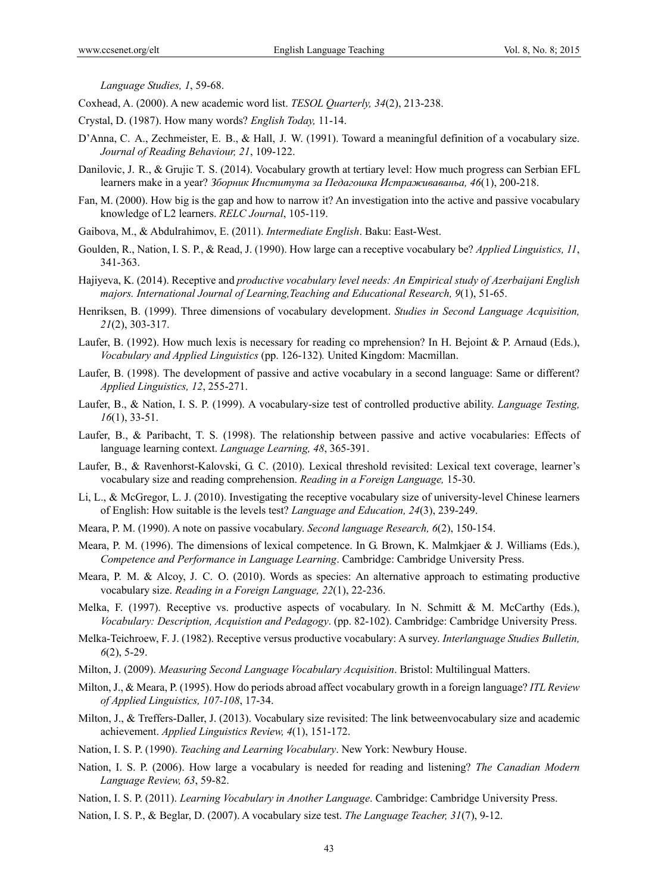*Language Studies, 1*, 59-68.

Coxhead, A. (2000). A new academic word list. *TESOL Quarterly, 34*(2), 213-238.

- Crystal, D. (1987). How many words? *English Today,* 11-14.
- D'Anna, C. A., Zechmeister, E. B., & Hall, J. W. (1991). Toward a meaningful definition of a vocabulary size. *Journal of Reading Behaviour, 21*, 109-122.
- Danilovic, J. R., & Grujic T. S. (2014). Vocabulary growth at tertiary level: How much progress can Serbian EFL learners make in a year? *Зборник Института за Педагошка Истраживаваньа, 46*(1), 200-218.
- Fan, M. (2000). How big is the gap and how to narrow it? An investigation into the active and passive vocabulary knowledge of L2 learners. *RELC Journal*, 105-119.
- Gaibova, M., & Abdulrahimov, E. (2011). *Intermediate English*. Baku: East-West.
- Goulden, R., Nation, I. S. P., & Read, J. (1990). How large can a receptive vocabulary be? *Applied Linguistics, 11*, 341-363.
- Hajiyeva, K. (2014). Receptive and *productive vocabulary level needs: An Empirical study of Azerbaijani English majors. International Journal of Learning,Teaching and Educational Research, 9*(1), 51-65.
- Henriksen, B. (1999). Three dimensions of vocabulary development. *Studies in Second Language Acquisition, 21*(2), 303-317.
- Laufer, B. (1992). How much lexis is necessary for reading co mprehension? In H. Bejoint & P. Arnaud (Eds.), *Vocabulary and Applied Linguistics* (pp. 126-132)*.* United Kingdom: Macmillan.
- Laufer, B. (1998). The development of passive and active vocabulary in a second language: Same or different? *Applied Linguistics, 12*, 255-271.
- Laufer, B., & Nation, I. S. P. (1999). A vocabulary-size test of controlled productive ability. *Language Testing, 16*(1), 33-51.
- Laufer, B., & Paribacht, T. S. (1998). The relationship between passive and active vocabularies: Effects of language learning context. *Language Learning, 48*, 365-391.
- Laufer, B., & Ravenhorst-Kalovski, G. C. (2010). Lexical threshold revisited: Lexical text coverage, learner's vocabulary size and reading comprehension. *Reading in a Foreign Language,* 15-30.
- Li, L., & McGregor, L. J. (2010). Investigating the receptive vocabulary size of university-level Chinese learners of English: How suitable is the levels test? *Language and Education, 24*(3), 239-249.
- Meara, P. M. (1990). A note on passive vocabulary. *Second language Research, 6*(2), 150-154.
- Meara, P. M. (1996). The dimensions of lexical competence. In G. Brown, K. Malmkjaer & J. Williams (Eds.), *Competence and Performance in Language Learning*. Cambridge: Cambridge University Press.
- Meara, P. M. & Alcoy, J. C. O. (2010). Words as species: An alternative approach to estimating productive vocabulary size. *Reading in a Foreign Language, 22*(1), 22-236.
- Melka, F. (1997). Receptive vs. productive aspects of vocabulary. In N. Schmitt & M. McCarthy (Eds.), *Vocabulary: Description, Acquistion and Pedagogy*. (pp. 82-102). Cambridge: Cambridge University Press.
- Melka-Teichroew, F. J. (1982). Receptive versus productive vocabulary: A survey. *Interlanguage Studies Bulletin, 6*(2), 5-29.
- Milton, J. (2009). *Measuring Second Language Vocabulary Acquisition*. Bristol: Multilingual Matters.
- Milton, J., & Meara, P. (1995). How do periods abroad affect vocabulary growth in a foreign language? *ITL Review of Applied Linguistics, 107-108*, 17-34.
- Milton, J., & Treffers-Daller, J. (2013). Vocabulary size revisited: The link betweenvocabulary size and academic achievement. *Applied Linguistics Review, 4*(1), 151-172.
- Nation, I. S. P. (1990). *Teaching and Learning Vocabulary*. New York: Newbury House.
- Nation, I. S. P. (2006). How large a vocabulary is needed for reading and listening? *The Canadian Modern Language Review, 63*, 59-82.
- Nation, I. S. P. (2011). *Learning Vocabulary in Another Language*. Cambridge: Cambridge University Press.
- Nation, I. S. P., & Beglar, D. (2007). A vocabulary size test. *The Language Teacher, 31*(7), 9-12.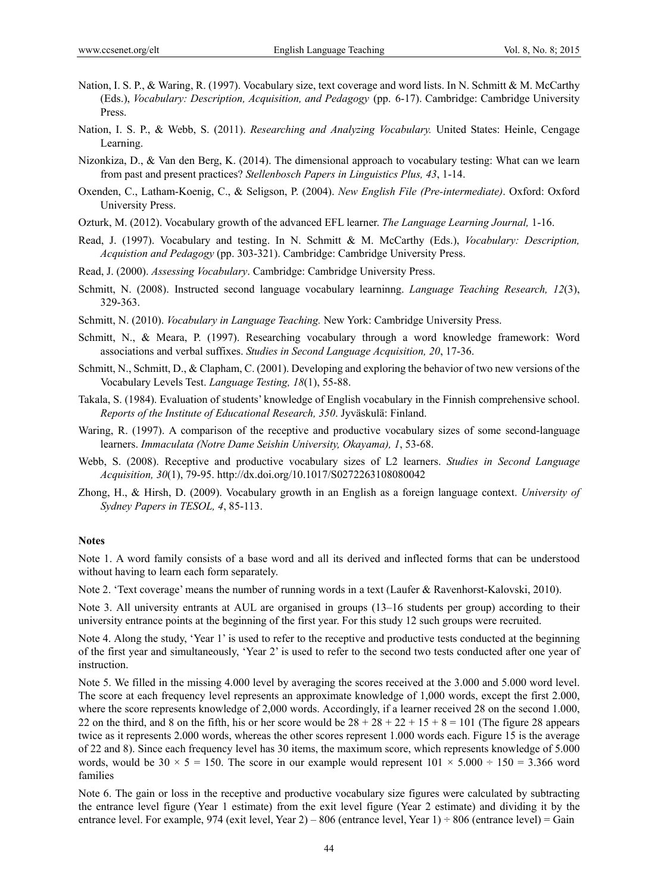- Nation, I. S. P., & Waring, R. (1997). Vocabulary size, text coverage and word lists. In N. Schmitt & M. McCarthy (Eds.), *Vocabulary: Description, Acquisition, and Pedagogy* (pp. 6-17). Cambridge: Cambridge University Press.
- Nation, I. S. P., & Webb, S. (2011). *Researching and Analyzing Vocabulary.* United States: Heinle, Cengage Learning.
- Nizonkiza, D., & Van den Berg, K. (2014). The dimensional approach to vocabulary testing: What can we learn from past and present practices? *Stellenbosch Papers in Linguistics Plus, 43*, 1-14.
- Oxenden, C., Latham-Koenig, C., & Seligson, P. (2004). *New English File (Pre-intermediate)*. Oxford: Oxford University Press.
- Ozturk, M. (2012). Vocabulary growth of the advanced EFL learner. *The Language Learning Journal,* 1-16.
- Read, J. (1997). Vocabulary and testing. In N. Schmitt & M. McCarthy (Eds.), *Vocabulary: Description, Acquistion and Pedagogy* (pp. 303-321). Cambridge: Cambridge University Press.
- Read, J. (2000). *Assessing Vocabulary*. Cambridge: Cambridge University Press.
- Schmitt, N. (2008). Instructed second language vocabulary learninng. *Language Teaching Research, 12*(3), 329-363.
- Schmitt, N. (2010). *Vocabulary in Language Teaching.* New York: Cambridge University Press.
- Schmitt, N., & Meara, P. (1997). Researching vocabulary through a word knowledge framework: Word associations and verbal suffixes. *Studies in Second Language Acquisition, 20*, 17-36.
- Schmitt, N., Schmitt, D., & Clapham, C. (2001). Developing and exploring the behavior of two new versions of the Vocabulary Levels Test. *Language Testing, 18*(1), 55-88.
- Takala, S. (1984). Evaluation of students' knowledge of English vocabulary in the Finnish comprehensive school. *Reports of the Institute of Educational Research, 350*. Jyväskulä: Finland.
- Waring, R. (1997). A comparison of the receptive and productive vocabulary sizes of some second-language learners. *Immaculata (Notre Dame Seishin University, Okayama), 1*, 53-68.
- Webb, S. (2008). Receptive and productive vocabulary sizes of L2 learners. *Studies in Second Language Acquisition, 30*(1), 79-95. http://dx.doi.org/10.1017/S0272263108080042
- Zhong, H., & Hirsh, D. (2009). Vocabulary growth in an English as a foreign language context. *University of Sydney Papers in TESOL, 4*, 85-113.

#### **Notes**

Note 1. A word family consists of a base word and all its derived and inflected forms that can be understood without having to learn each form separately.

Note 2. 'Text coverage' means the number of running words in a text (Laufer & Ravenhorst-Kalovski, 2010).

Note 3. All university entrants at AUL are organised in groups (13–16 students per group) according to their university entrance points at the beginning of the first year. For this study 12 such groups were recruited.

Note 4. Along the study, 'Year 1' is used to refer to the receptive and productive tests conducted at the beginning of the first year and simultaneously, 'Year 2' is used to refer to the second two tests conducted after one year of instruction.

Note 5. We filled in the missing 4.000 level by averaging the scores received at the 3.000 and 5.000 word level. The score at each frequency level represents an approximate knowledge of 1,000 words, except the first 2.000, where the score represents knowledge of 2,000 words. Accordingly, if a learner received 28 on the second 1.000, 22 on the third, and 8 on the fifth, his or her score would be  $28 + 28 + 22 + 15 + 8 = 101$  (The figure 28 appears twice as it represents 2.000 words, whereas the other scores represent 1.000 words each. Figure 15 is the average of 22 and 8). Since each frequency level has 30 items, the maximum score, which represents knowledge of 5.000 words, would be  $30 \times 5 = 150$ . The score in our example would represent  $101 \times 5.000 \div 150 = 3.366$  word families

Note 6. The gain or loss in the receptive and productive vocabulary size figures were calculated by subtracting the entrance level figure (Year 1 estimate) from the exit level figure (Year 2 estimate) and dividing it by the entrance level. For example, 974 (exit level, Year 2) – 806 (entrance level, Year 1) ÷ 806 (entrance level) = Gain